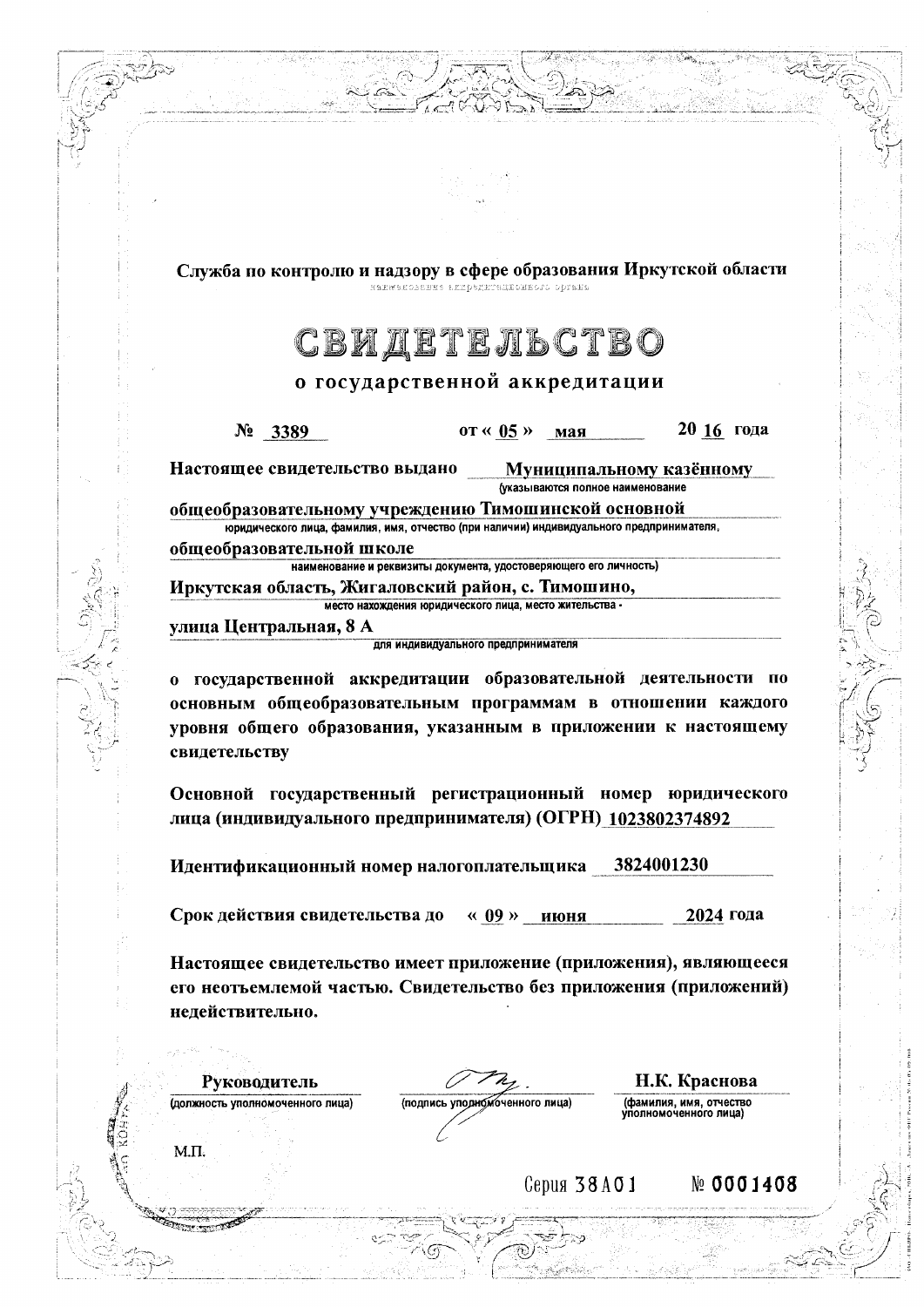Служба по контролю и надзору в сфере образования Иркутской области наживнования ядредитационного ортана

## СВИДЕТЕЛЬСТВО

## о государственной аккредитации

20 16 года  $N_2$  3389 от « 05 » мая Настоящее свидетельство выдано Муниципальному казённому (указываются полное наименование общеобразовательному учреждению Тимошинской основной юридического лица, фамилия, имя, отчество (при наличии) индивидуального предпринимателя, общеобразовательной школе наименование и реквизиты документа, удостоверяющего его личность) Иркутская область, Жигаловский район, с. Тимошино, место нахождения юридического лица, место жительства -

улица Центральная, 8 А

для индивидуального предпринимателя

о государственной аккредитации образовательной деятельности по основным общеобразовательным программам в отношении каждого уровня общего образования, указанным в приложении к настоящему свидетельству

Основной государственный регистрационный номер юридического лица (индивидуального предпринимателя) (ОГРН) 1023802374892

Идентификационный номер налогоплательщика 3824001230

Срок действия свидетельства до 2024 года « 09 » июня

Настоящее свидетельство имеет приложение (приложения), являющееся его неотъемлемой частью. Свидетельство без приложения (приложений) недействительно.

Руководитель (должность уполномоченного лица)

 $M.\Pi.$ 

(подпись уподномоченного лица)

Н.К. Краснова (фамилия, имя, отчество<br>уполномоченного лица)

Серия 38А01

№ 0001408